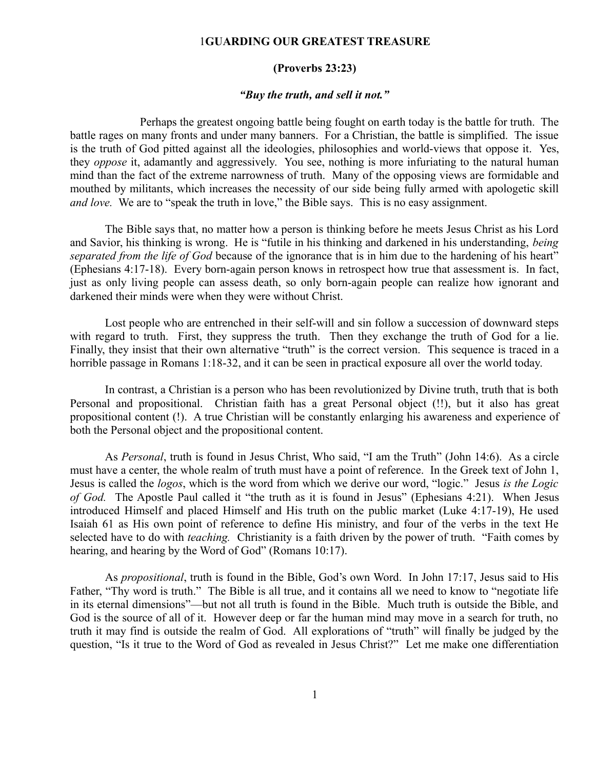## 1**GUARDING OUR GREATEST TREASURE**

## **(Proverbs 23:23)**

## *"Buy the truth, and sell it not."*

Perhaps the greatest ongoing battle being fought on earth today is the battle for truth. The battle rages on many fronts and under many banners. For a Christian, the battle is simplified. The issue is the truth of God pitted against all the ideologies, philosophies and world-views that oppose it. Yes, they *oppose* it, adamantly and aggressively. You see, nothing is more infuriating to the natural human mind than the fact of the extreme narrowness of truth. Many of the opposing views are formidable and mouthed by militants, which increases the necessity of our side being fully armed with apologetic skill *and love.* We are to "speak the truth in love," the Bible says. This is no easy assignment.

The Bible says that, no matter how a person is thinking before he meets Jesus Christ as his Lord and Savior, his thinking is wrong. He is "futile in his thinking and darkened in his understanding, *being separated from the life of God* because of the ignorance that is in him due to the hardening of his heart" (Ephesians 4:17-18). Every born-again person knows in retrospect how true that assessment is. In fact, just as only living people can assess death, so only born-again people can realize how ignorant and darkened their minds were when they were without Christ.

Lost people who are entrenched in their self-will and sin follow a succession of downward steps with regard to truth. First, they suppress the truth. Then they exchange the truth of God for a lie. Finally, they insist that their own alternative "truth" is the correct version. This sequence is traced in a horrible passage in Romans 1:18-32, and it can be seen in practical exposure all over the world today.

In contrast, a Christian is a person who has been revolutionized by Divine truth, truth that is both Personal and propositional. Christian faith has a great Personal object (!!), but it also has great propositional content (!). A true Christian will be constantly enlarging his awareness and experience of both the Personal object and the propositional content.

As *Personal*, truth is found in Jesus Christ, Who said, "I am the Truth" (John 14:6). As a circle must have a center, the whole realm of truth must have a point of reference. In the Greek text of John 1, Jesus is called the *logos*, which is the word from which we derive our word, "logic." Jesus *is the Logic of God.* The Apostle Paul called it "the truth as it is found in Jesus" (Ephesians 4:21). When Jesus introduced Himself and placed Himself and His truth on the public market (Luke 4:17-19), He used Isaiah 61 as His own point of reference to define His ministry, and four of the verbs in the text He selected have to do with *teaching.* Christianity is a faith driven by the power of truth. "Faith comes by hearing, and hearing by the Word of God" (Romans 10:17).

As *propositional*, truth is found in the Bible, God's own Word. In John 17:17, Jesus said to His Father, "Thy word is truth." The Bible is all true, and it contains all we need to know to "negotiate life in its eternal dimensions"—but not all truth is found in the Bible. Much truth is outside the Bible, and God is the source of all of it. However deep or far the human mind may move in a search for truth, no truth it may find is outside the realm of God. All explorations of "truth" will finally be judged by the question, "Is it true to the Word of God as revealed in Jesus Christ?" Let me make one differentiation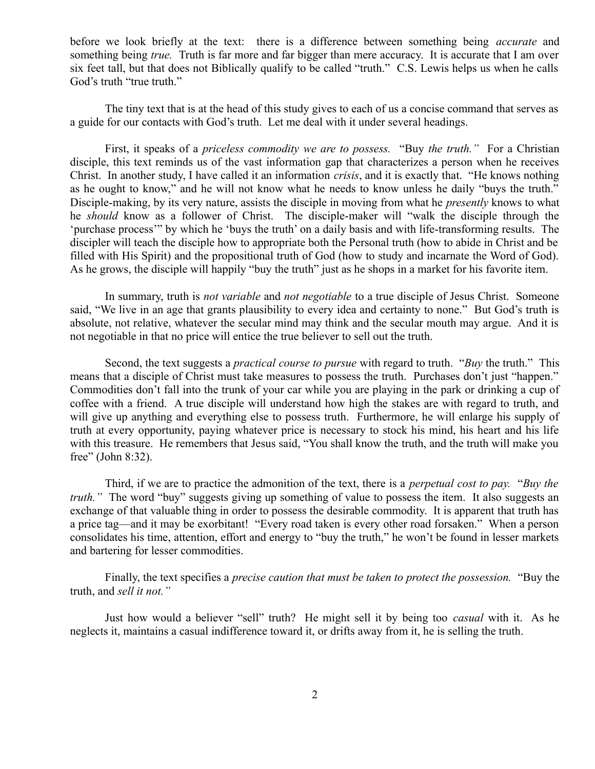before we look briefly at the text: there is a difference between something being *accurate* and something being *true.* Truth is far more and far bigger than mere accuracy. It is accurate that I am over six feet tall, but that does not Biblically qualify to be called "truth." C.S. Lewis helps us when he calls God's truth "true truth."

The tiny text that is at the head of this study gives to each of us a concise command that serves as a guide for our contacts with God's truth. Let me deal with it under several headings.

First, it speaks of a *priceless commodity we are to possess.* "Buy *the truth."* For a Christian disciple, this text reminds us of the vast information gap that characterizes a person when he receives Christ. In another study, I have called it an information *crisis*, and it is exactly that. "He knows nothing as he ought to know," and he will not know what he needs to know unless he daily "buys the truth." Disciple-making, by its very nature, assists the disciple in moving from what he *presently* knows to what he *should* know as a follower of Christ. The disciple-maker will "walk the disciple through the 'purchase process'" by which he 'buys the truth' on a daily basis and with life-transforming results. The discipler will teach the disciple how to appropriate both the Personal truth (how to abide in Christ and be filled with His Spirit) and the propositional truth of God (how to study and incarnate the Word of God). As he grows, the disciple will happily "buy the truth" just as he shops in a market for his favorite item.

In summary, truth is *not variable* and *not negotiable* to a true disciple of Jesus Christ. Someone said, "We live in an age that grants plausibility to every idea and certainty to none." But God's truth is absolute, not relative, whatever the secular mind may think and the secular mouth may argue. And it is not negotiable in that no price will entice the true believer to sell out the truth.

Second, the text suggests a *practical course to pursue* with regard to truth. "*Buy* the truth."This means that a disciple of Christ must take measures to possess the truth. Purchases don't just "happen." Commodities don't fall into the trunk of your car while you are playing in the park or drinking a cup of coffee with a friend. A true disciple will understand how high the stakes are with regard to truth, and will give up anything and everything else to possess truth. Furthermore, he will enlarge his supply of truth at every opportunity, paying whatever price is necessary to stock his mind, his heart and his life with this treasure. He remembers that Jesus said, "You shall know the truth, and the truth will make you free" (John 8:32).

Third, if we are to practice the admonition of the text, there is a *perpetual cost to pay.* "*Buy the truth.*" The word "buy" suggests giving up something of value to possess the item. It also suggests an exchange of that valuable thing in order to possess the desirable commodity. It is apparent that truth has a price tag—and it may be exorbitant! "Every road taken is every other road forsaken." When a person consolidates his time, attention, effort and energy to "buy the truth," he won't be found in lesser markets and bartering for lesser commodities.

Finally, the text specifies a *precise caution that must be taken to protect the possession.* "Buy the truth, and *sell it not."*

Just how would a believer "sell" truth? He might sell it by being too *casual* with it. As he neglects it, maintains a casual indifference toward it, or drifts away from it, he is selling the truth.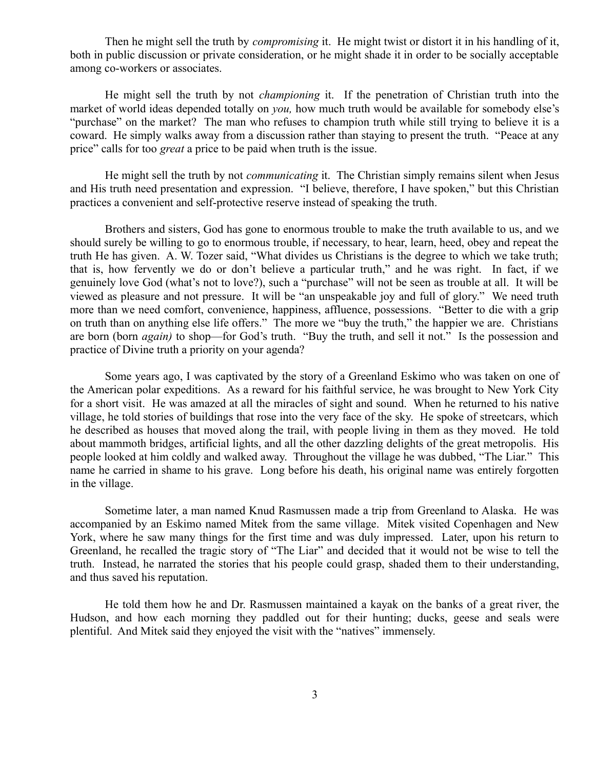Then he might sell the truth by *compromising* it. He might twist or distort it in his handling of it, both in public discussion or private consideration, or he might shade it in order to be socially acceptable among co-workers or associates.

He might sell the truth by not *championing* it. If the penetration of Christian truth into the market of world ideas depended totally on *you,* how much truth would be available for somebody else's "purchase" on the market? The man who refuses to champion truth while still trying to believe it is a coward. He simply walks away from a discussion rather than staying to present the truth. "Peace at any price" calls for too *great* a price to be paid when truth is the issue.

He might sell the truth by not *communicating* it. The Christian simply remains silent when Jesus and His truth need presentation and expression. "I believe, therefore, I have spoken," but this Christian practices a convenient and self-protective reserve instead of speaking the truth.

Brothers and sisters, God has gone to enormous trouble to make the truth available to us, and we should surely be willing to go to enormous trouble, if necessary, to hear, learn, heed, obey and repeat the truth He has given. A. W. Tozer said, "What divides us Christians is the degree to which we take truth; that is, how fervently we do or don't believe a particular truth," and he was right. In fact, if we genuinely love God (what's not to love?), such a "purchase" will not be seen as trouble at all. It will be viewed as pleasure and not pressure. It will be "an unspeakable joy and full of glory." We need truth more than we need comfort, convenience, happiness, affluence, possessions. "Better to die with a grip on truth than on anything else life offers." The more we "buy the truth," the happier we are. Christians are born (born *again)* to shop—for God's truth. "Buy the truth, and sell it not." Is the possession and practice of Divine truth a priority on your agenda?

Some years ago, I was captivated by the story of a Greenland Eskimo who was taken on one of the American polar expeditions. As a reward for his faithful service, he was brought to New York City for a short visit. He was amazed at all the miracles of sight and sound. When he returned to his native village, he told stories of buildings that rose into the very face of the sky. He spoke of streetcars, which he described as houses that moved along the trail, with people living in them as they moved. He told about mammoth bridges, artificial lights, and all the other dazzling delights of the great metropolis. His people looked at him coldly and walked away. Throughout the village he was dubbed, "The Liar." This name he carried in shame to his grave. Long before his death, his original name was entirely forgotten in the village.

Sometime later, a man named Knud Rasmussen made a trip from Greenland to Alaska. He was accompanied by an Eskimo named Mitek from the same village. Mitek visited Copenhagen and New York, where he saw many things for the first time and was duly impressed. Later, upon his return to Greenland, he recalled the tragic story of "The Liar" and decided that it would not be wise to tell the truth. Instead, he narrated the stories that his people could grasp, shaded them to their understanding, and thus saved his reputation.

He told them how he and Dr. Rasmussen maintained a kayak on the banks of a great river, the Hudson, and how each morning they paddled out for their hunting; ducks, geese and seals were plentiful. And Mitek said they enjoyed the visit with the "natives" immensely.